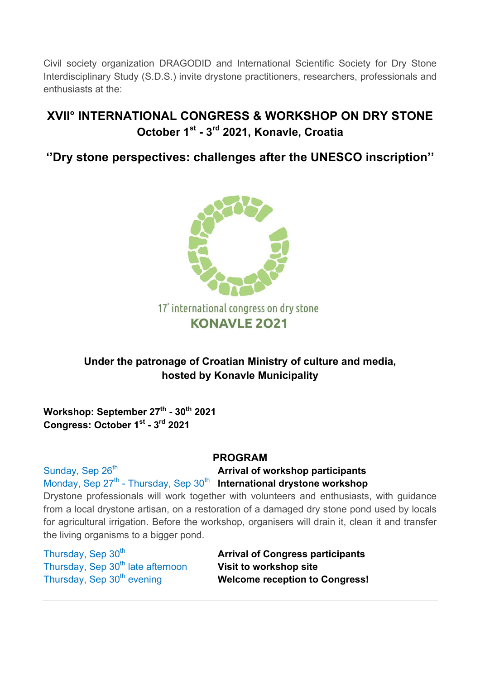Civil society organization DRAGODID and International Scientific Society for Dry Stone Interdisciplinary Study (S.D.S.) invite drystone practitioners, researchers, professionals and enthusiasts at the:

# **XVII° INTERNATIONAL CONGRESS & WORKSHOP ON DRY STONE October 1st - 3rd 2021, Konavle, Croatia**

**''Dry stone perspectives: challenges after the UNESCO inscription''**



17° international congress on dry stone **KONAVLE 2021** 

## **Under the patronage of Croatian Ministry of culture and media, hosted by Konavle Municipality**

**Workshop: September 27th - 30th 2021 Congress: October 1st - 3rd 2021**

## **PROGRAM**

Sunday, Sep 26<sup>th</sup> **Arrival of workshop participants** Monday, Sep 27<sup>th</sup> - Thursday, Sep 30<sup>th</sup> International drystone workshop Drystone professionals will work together with volunteers and enthusiasts, with guidance from a local drystone artisan, on a restoration of a damaged dry stone pond used by locals for agricultural irrigation. Before the workshop, organisers will drain it, clean it and transfer

the living organisms to a bigger pond.

Thursday, Sep 30<sup>th</sup> late afternoon **Visit to workshop site** 

Thursday, Sep 30th **Arrival of Congress participants** Thursday, Sep 30<sup>th</sup> evening **Welcome reception to Congress!**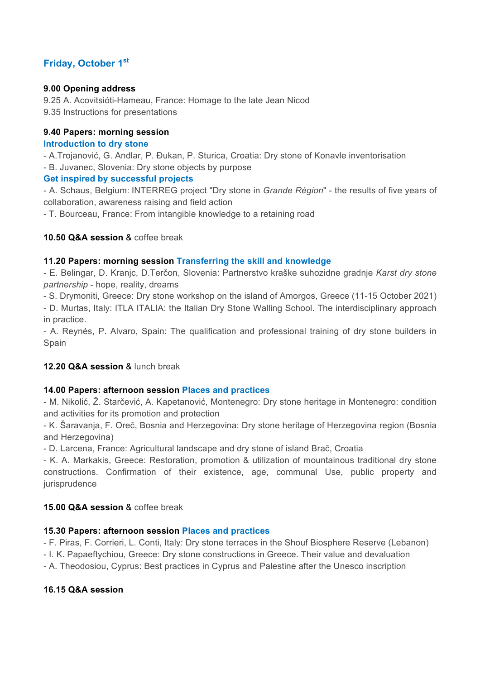### **Friday, October 1st**

### **9.00 Opening address**

9.25 A. Acovitsióti-Hameau, France: Homage to the late Jean Nicod 9.35 Instructions for presentations

### **9.40 Papers: morning session**

### **Introduction to dry stone**

- A.Trojanović, G. Andlar, P. Đukan, P. Sturica, Croatia: Dry stone of Konavle inventorisation

- B. Juvanec, Slovenia: Dry stone objects by purpose

### **Get inspired by successful projects**

- A. Schaus, Belgium: INTERREG project "Dry stone in *Grande Région*" - the results of five years of collaboration, awareness raising and field action

- T. Bourceau, France: From intangible knowledge to a retaining road

### **10.50 Q&A session** & coffee break

### **11.20 Papers: morning session Transferring the skill and knowledge**

- E. Belingar, D. Kranjc, D.Terčon, Slovenia: Partnerstvo kraške suhozidne gradnje *Karst dry stone partnership* - hope, reality, dreams

- S. Drymoniti, Greece: Dry stone workshop on the island of Amorgos, Greece (11-15 October 2021)

- D. Murtas, Italy: ITLA ITALIA: the Italian Dry Stone Walling School. The interdisciplinary approach in practice.

- A. Reynés, P. Alvaro, Spain: The qualification and professional training of dry stone builders in Spain

### **12.20 Q&A session** & lunch break

### **14.00 Papers: afternoon session Places and practices**

- M. Nikolić, Ž. Starčević, A. Kapetanović, Montenegro: Dry stone heritage in Montenegro: condition and activities for its promotion and protection

- K. Šaravanja, F. Oreč, Bosnia and Herzegovina: Dry stone heritage of Herzegovina region (Bosnia and Herzegovina)

- D. Larcena, France: Agricultural landscape and dry stone of island Brač, Croatia

- K. A. Markakis, Greece: Restoration, promotion & utilization of mountainous traditional dry stone constructions. Confirmation of their existence, age, communal Use, public property and iurisprudence

### **15.00 Q&A session** & coffee break

### **15.30 Papers: afternoon session Places and practices**

- F. Piras, F. Corrieri, L. Conti, Italy: Dry stone terraces in the Shouf Biosphere Reserve (Lebanon)

- I. K. Papaeftychiou, Greece: Dry stone constructions in Greece. Their value and devaluation

- A. Theodosiou, Cyprus: Best practices in Cyprus and Palestine after the Unesco inscription

### **16.15 Q&A session**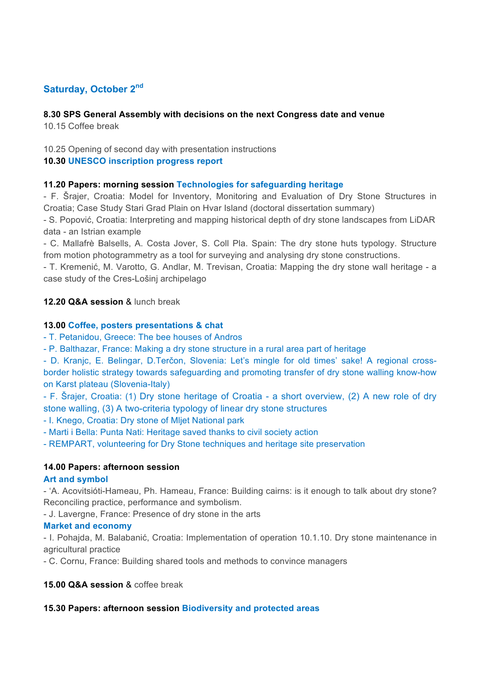### **Saturday, October 2nd**

### **8.30 SPS General Assembly with decisions on the next Congress date and venue**

10.15 Coffee break

### 10.25 Opening of second day with presentation instructions

### **10.30 UNESCO inscription progress report**

### **11.20 Papers: morning session Technologies for safeguarding heritage**

- F. Šrajer, Croatia: Model for Inventory, Monitoring and Evaluation of Dry Stone Structures in Croatia; Case Study Stari Grad Plain on Hvar Island (doctoral dissertation summary)

- S. Popović, Croatia: Interpreting and mapping historical depth of dry stone landscapes from LiDAR data - an Istrian example

- C. Mallafrè Balsells, A. Costa Jover, S. Coll Pla. Spain: The dry stone huts typology. Structure from motion photogrammetry as a tool for surveying and analysing dry stone constructions.

- T. Kremenić, M. Varotto, G. Andlar, M. Trevisan, Croatia: Mapping the dry stone wall heritage - a case study of the Cres-Lošinj archipelago

### **12.20 Q&A session** & lunch break

### **13.00 Coffee, posters presentations & chat**

- T. Petanidou, Greece: The bee houses of Andros

- P. Balthazar, France: Making a dry stone structure in a rural area part of heritage

- D. Kranjc, E. Belingar, D.Terčon, Slovenia: Let's mingle for old times' sake! A regional crossborder holistic strategy towards safeguarding and promoting transfer of dry stone walling know-how on Karst plateau (Slovenia-Italy)

- F. Šrajer, Croatia: (1) Dry stone heritage of Croatia - a short overview, (2) A new role of dry stone walling, (3) A two-criteria typology of linear dry stone structures

- I. Knego, Croatia: Dry stone of Mljet National park

- Marti i Bella: Punta Nati: Heritage saved thanks to civil society action

- REMPART, volunteering for Dry Stone techniques and heritage site preservation

### **14.00 Papers: afternoon session**

### **Art and symbol**

- 'A. Acovitsióti-Hameau, Ph. Hameau, France: Building cairns: is it enough to talk about dry stone? Reconciling practice, performance and symbolism.

- J. Lavergne, France: Presence of dry stone in the arts

### **Market and economy**

- I. Pohajda, M. Balabanić, Croatia: Implementation of operation 10.1.10. Dry stone maintenance in agricultural practice

- C. Cornu, France: Building shared tools and methods to convince managers

### **15.00 Q&A session** & coffee break

### **15.30 Papers: afternoon session Biodiversity and protected areas**